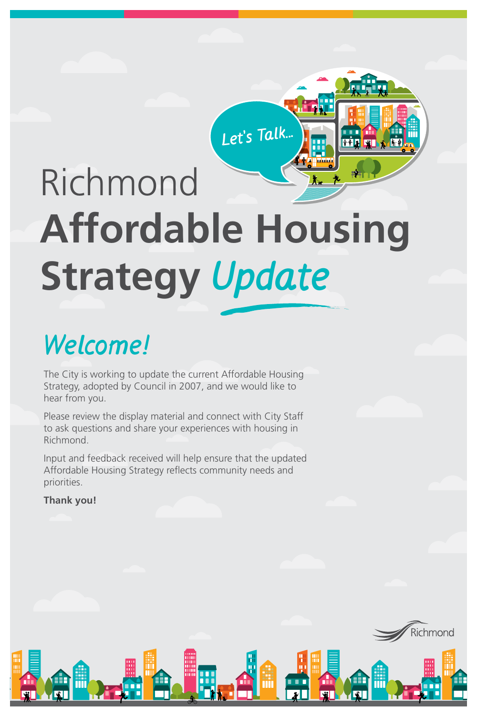## **Welcome!**

The City is working to update the current Affordable Housing Strategy, adopted by Council in 2007, and we would like to hear from you.

Please review the display material and connect with City Staff to ask questions and share your experiences with housing in Richmond.

Input and feedback received will help ensure that the updated Affordable Housing Strategy reflects community needs and priorities.





# Richmond

# **Affordable Housing**

# **Strategy Update**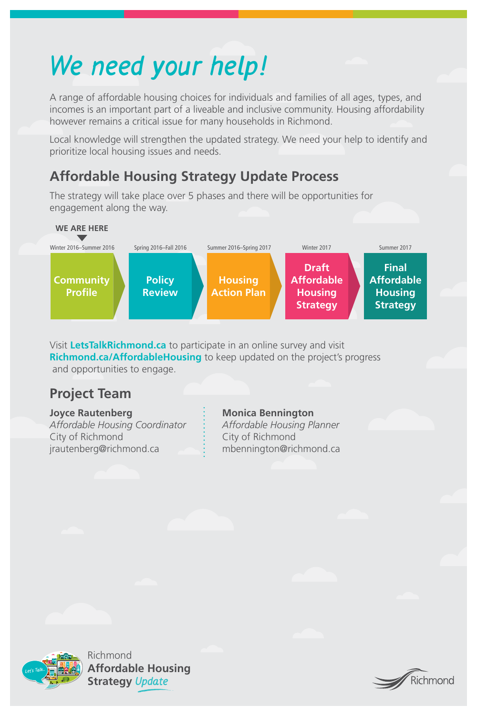



# **We need your help!**

A range of affordable housing choices for individuals and families of all ages, types, and incomes is an important part of a liveable and inclusive community. Housing affordability however remains a critical issue for many households in Richmond.

Local knowledge will strengthen the updated strategy. We need your help to identify and prioritize local housing issues and needs.

## **Affordable Housing Strategy Update Process**

The strategy will take place over 5 phases and there will be opportunities for engagement along the way.

Visit **LetsTalkRichmond.ca** to participate in an online survey and visit **Richmond.ca/AffordableHousing** to keep updated on the project's progress and opportunities to engage.

Winter 2016–Summer 2016



Summer 2016–Spring 2017

Winter 2017



## **Project Team**

#### **Joyce Rautenberg**

*Affordable Housing Coordinator*  City of Richmond jrautenberg@richmond.ca

#### **Monica Bennington**

- *Affordable Housing Planner*
- City of Richmond
- mbennington@richmond.ca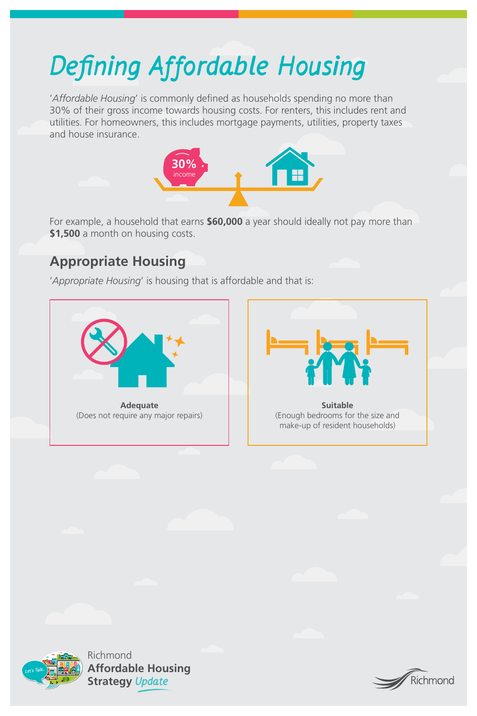



# **Defining Affordable Housing**

'*Affordable Housing*' is commonly defined as households spending no more than 30% of their gross income towards housing costs. For renters, this includes rent and utilities. For homeowners, this includes mortgage payments, utilities, property taxes and house insurance.

For example, a household that earns **\$60,000** a year should ideally not pay more than **\$1,500** a month on housing costs.

### **Appropriate Housing**

'*Appropriate Housing*' is housing that is affordable and that is:



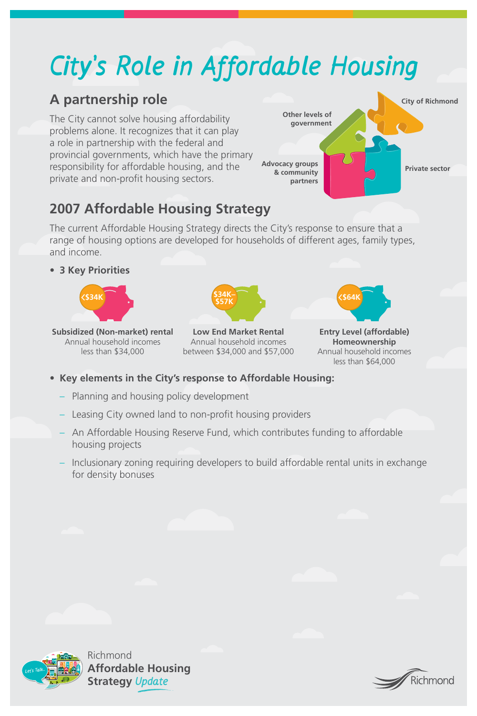



# **City's Role in Affordable Housing**

### **A partnership role**

The City cannot solve housing affordability problems alone. It recognizes that it can play a role in partnership with the federal and provincial governments, which have the primary responsibility for affordable housing, and the private and non-profit housing sectors.

## **2007 Affordable Housing Strategy**

The current Affordable Housing Strategy directs the City's response to ensure that a range of housing options are developed for households of different ages, family types,

#### and income.

• **3 Key Priorities**

- **Key elements in the City's response to Affordable Housing:**
	- Planning and housing policy development
	- Leasing City owned land to non-profit housing providers
	- An Affordable Housing Reserve Fund, which contributes funding to affordable housing projects
	- Inclusionary zoning requiring developers to build affordable rental units in exchange for density bonuses





**Low End Market Rental** Annual household incomes between \$34,000 and \$57,000

**Entry Level (affordable) Homeownership** Annual household incomes less than \$64,000



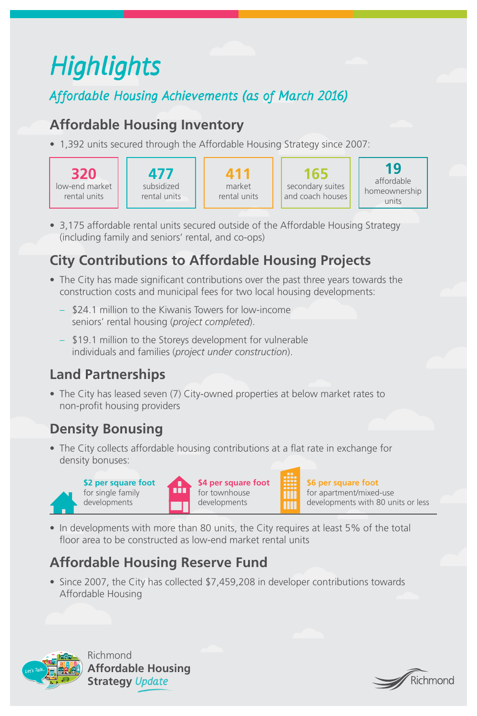



# **Highlights**

**Affordable Housing Achievements (as of March 2016)**

## **Affordable Housing Inventory**

• 1,392 units secured through the Affordable Housing Strategy since 2007:

• 3,175 affordable rental units secured outside of the Affordable Housing Strategy (including family and seniors' rental, and co-ops)

## **City Contributions to Affordable Housing Projects**

• The City has leased seven (7) City-owned properties at below market rates to non-profit housing providers

• The City collects affordable housing contributions at a flat rate in exchange for density bonuses:

• In developments with more than 80 units, the City requires at least 5% of the total floor area to be constructed as low-end market rental units

- The City has made significant contributions over the past three years towards the construction costs and municipal fees for two local housing developments:
	- \$24.1 million to the Kiwanis Towers for low-income seniors' rental housing (*project completed*).
	- \$19.1 million to the Storeys development for vulnerable individuals and families (*project under construction*).

## **Land Partnerships**

## **Density Bonusing**

## **Affordable Housing Reserve Fund**

• Since 2007, the City has collected \$7,459,208 in developer contributions towards Affordable Housing

**\$2 per square foot** 



**\$4 per square foot** for townhouse

**\$6 per square foot**  for apartment/mixed-use

**. . .** .

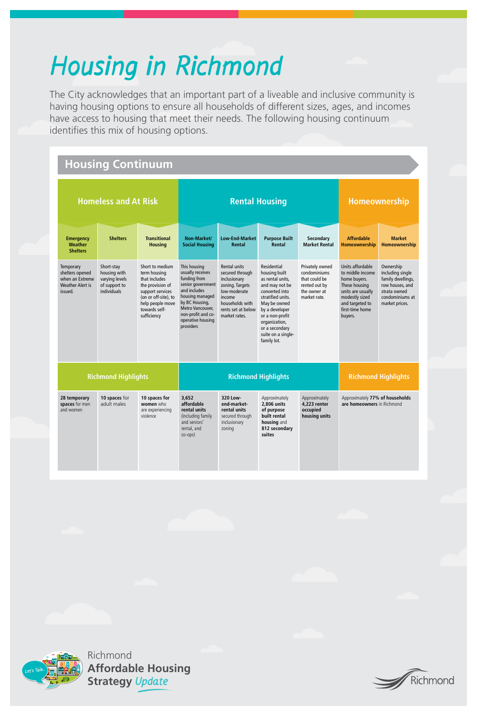



# **Housing in Richmond**

The City acknowledges that an important part of a liveable and inclusive community is having housing options to ensure all households of different sizes, ages, and incomes have access to housing that meet their needs. The following housing continuum identifies this mix of housing options.

| <b>Shelters</b>                                                                       |                                                                              |                                                                                                                                                                      |                                                                                                                                                                                                        |                                                                                                                                                                      |                                                                                                                                                                                                                                               |                                                                                                   |                                                                                                                                                               |                                                                                                                            |
|---------------------------------------------------------------------------------------|------------------------------------------------------------------------------|----------------------------------------------------------------------------------------------------------------------------------------------------------------------|--------------------------------------------------------------------------------------------------------------------------------------------------------------------------------------------------------|----------------------------------------------------------------------------------------------------------------------------------------------------------------------|-----------------------------------------------------------------------------------------------------------------------------------------------------------------------------------------------------------------------------------------------|---------------------------------------------------------------------------------------------------|---------------------------------------------------------------------------------------------------------------------------------------------------------------|----------------------------------------------------------------------------------------------------------------------------|
| Temporary<br>shelters opened<br>when an Extreme<br><b>Weather Alert is</b><br>issued. | Short-stay<br>housing with<br>varying levels<br>of support to<br>individuals | Short to medium<br>term housing<br>that includes<br>the provision of<br>support services<br>(on or off-site), to<br>help people move<br>towards self-<br>sufficiency | This housing<br>usually receives<br>funding from<br>senior government<br>and includes<br>housing managed<br>by BC Housing,<br>Metro Vancouver,<br>non-profit and co-<br>operative housing<br>providers | <b>Rental units</b><br>secured through<br>inclusionary<br>zoning. Targets<br>low-moderate<br><i>income</i><br>households with<br>rents set at below<br>market rates. | <b>Residential</b><br>housing built<br>as rental units,<br>and may not be<br>converted into<br>stratified units.<br>May be owned<br>by a developer<br>or a non-profit<br>organization,<br>or a secondary<br>suite on a single-<br>family lot. | Privately owned<br>condominiums<br>that could be<br>rented out by<br>the owner at<br>market rate. | Units affordable<br>to middle income<br>home buyers.<br>These housing<br>units are usually<br>modestly sized<br>and targeted to<br>first-time home<br>buyers. | Ownership<br>including single<br>family dwellings,<br>row houses, and<br>strata owned<br>condominiums at<br>market prices. |
| <b>Richmond Highlights</b>                                                            |                                                                              |                                                                                                                                                                      | <b>Richmond Highlights</b>                                                                                                                                                                             |                                                                                                                                                                      |                                                                                                                                                                                                                                               |                                                                                                   | <b>Richmond Highlights</b>                                                                                                                                    |                                                                                                                            |
|                                                                                       |                                                                              |                                                                                                                                                                      |                                                                                                                                                                                                        |                                                                                                                                                                      |                                                                                                                                                                                                                                               |                                                                                                   |                                                                                                                                                               |                                                                                                                            |

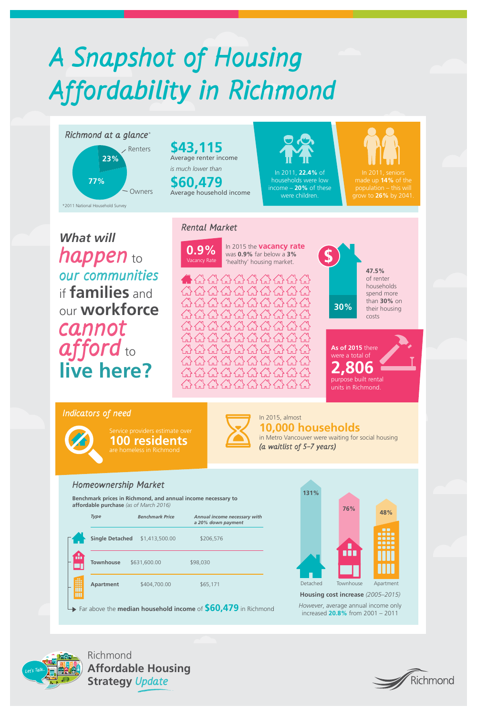



# **A Snapshot of Housing Affordability in Richmond**

*What will* 

**happen** to **our communities**  if **families** and our **workforce cannot afford** to **live here?**

**Rental Market**

#### **Homeownership Market**

**0.9%** In 2015 the **vacancy rate** was **0.9%** far below a 3% was **0.9%** far below a **3%**  'healthy' housing market.





*However*, average annual income only increased **20.8%** from 2001 – 2011

**Benchmark prices in Richmond, and annual income necessary to affordable purchase** *(as of March 2016)* 

|                                                               | <b>Type</b>            | <b>Benchmark Price</b> | <b>Annual income necessary with</b><br>a 20% down payment |  |  |  |  |
|---------------------------------------------------------------|------------------------|------------------------|-----------------------------------------------------------|--|--|--|--|
|                                                               | <b>Single Detached</b> | \$1,413,500.00         | \$206,576                                                 |  |  |  |  |
|                                                               | <b>Townhouse</b>       | \$631,600.00           | \$98,030                                                  |  |  |  |  |
| $\blacksquare$<br>18 S I                                      | <b>Apartment</b>       | \$404,700.00           | \$65,171                                                  |  |  |  |  |
| Far above the median household income of \$60,479 in Richmond |                        |                        |                                                           |  |  |  |  |



Service providers estimate over **100 residents** are homeless in Richmond



In 2015, almost **10,000 households**

in Metro Vancouver were waiting for social housing **(a waitlist of 5–7 years)**







#### **Indicators of need**



**As of 2015** there were a total of **2,806** purpose built rental units in Richmond.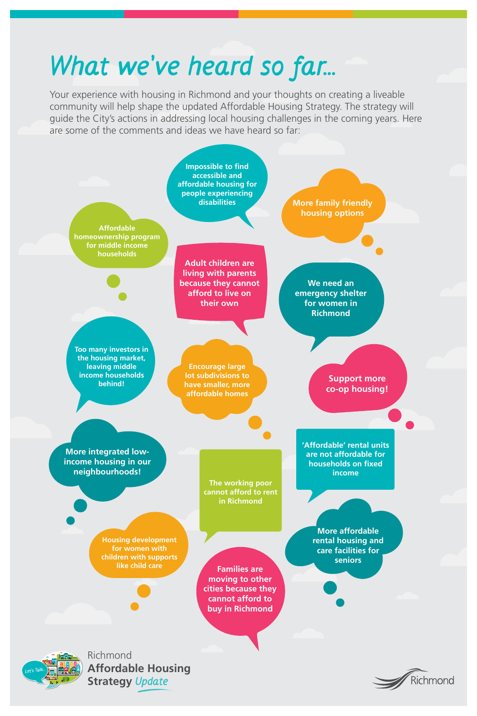



# **What we've heard so far...**

Your experience with housing in Richmond and your thoughts on creating a liveable community will help shape the updated Affordable Housing Strategy. The strategy will guide the City's actions in addressing local housing challenges in the coming years. Here are some of the comments and ideas we have heard so far:

> **We need an emergency shelter for women in Richmond**



**Adult children are living with parents because they cannot afford to live on their own**

#### **households**

**Too many investors in the housing market, leaving middle income households behind!** 

**More integrated lowincome housing in our neighbourhoods!**

> **The working poor cannot afford to rent**

> > **in Richmond**

**'Affordable' rental units are not affordable for households on fixed income**

> **More affordable rental housing and care facilities for seniors**

**Housing development for women with children with supports** 

**like child care Families are moving to other cities because they cannot afford to buy in Richmond** 

**Encourage large lot subdivisions to have smaller, more affordable homes**

**Support more co-op housing!**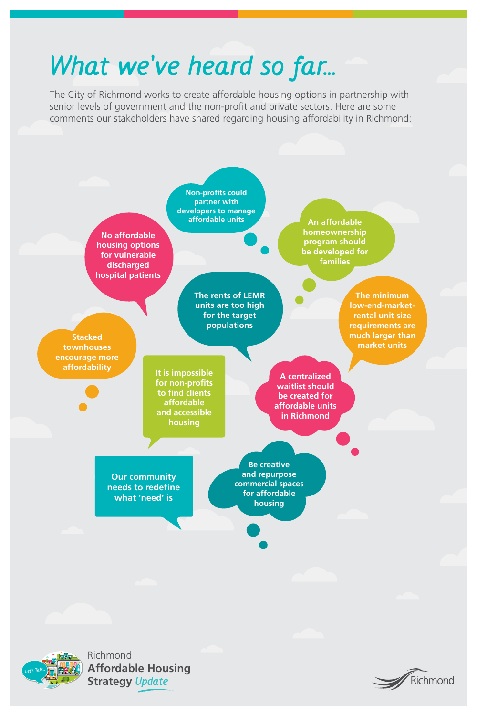



## **What we've heard so far...**

The City of Richmond works to create affordable housing options in partnership with senior levels of government and the non-profit and private sectors. Here are some comments our stakeholders have shared regarding housing affordability in Richmond:

> **The rents of LEMR units are too high for the target populations**

**The minimum low-end-marketrental unit size requirements are much larger than market units**

**An affordable homeownership program should** 

**be developed for families**

**It is impossible for non-profits to find clients affordable and accessible housing**

**Our community needs to redefine** 



**Be creative and repurpose commercial spaces for affordable** 

**Stacked townhouses encourage more affordability**

**No affordable housing options** 

**for vulnerable discharged hospital patients**

> **A centralized waitlist should be created for affordable units in Richmond**

**Non-profits could partner with developers to manage affordable units**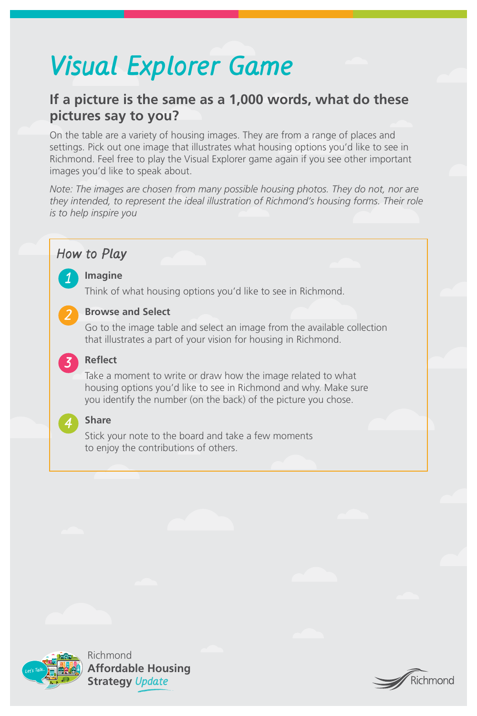



# **Visual Explorer Game**

## **If a picture is the same as a 1,000 words, what do these pictures say to you?**

On the table are a variety of housing images. They are from a range of places and settings. Pick out one image that illustrates what housing options you'd like to see in Richmond. Feel free to play the Visual Explorer game again if you see other important images you'd like to speak about.

*Note: The images are chosen from many possible housing photos. They do not, nor are they intended, to represent the ideal illustration of Richmond's housing forms. Their role is to help inspire you*

#### **How to Play**

#### **Imagine**

Think of what housing options you'd like to see in Richmond.

#### **Browse and Select**

Go to the image table and select an image from the available collection that illustrates a part of your vision for housing in Richmond.

#### **Reflect**

Take a moment to write or draw how the image related to what housing options you'd like to see in Richmond and why. Make sure you identify the number (on the back) of the picture you chose.

#### **Share**

Stick your note to the board and take a few moments to enjoy the contributions of others.



**2**

**3**

**4**